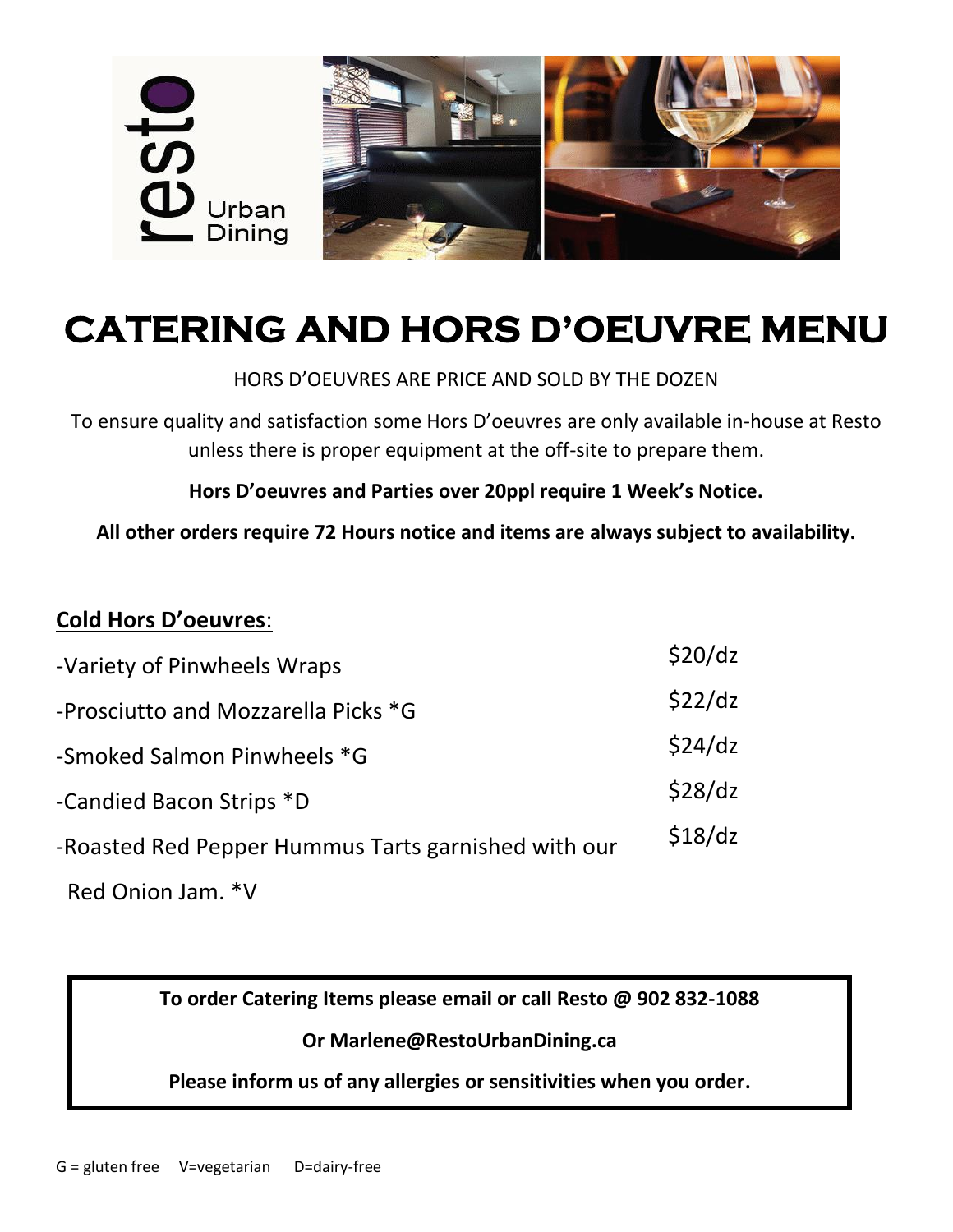

# **CATERING AND HORS D'OEUVRE MENU**

#### HORS D'OEUVRES ARE PRICE AND SOLD BY THE DOZEN

To ensure quality and satisfaction some Hors D'oeuvres are only available in-house at Resto unless there is proper equipment at the off-site to prepare them.

**Hors D'oeuvres and Parties over 20ppl require 1 Week's Notice.**

**All other orders require 72 Hours notice and items are always subject to availability.**

### **Cold Hors D'oeuvres**:

| -Variety of Pinwheels Wraps                         | \$20/dz |
|-----------------------------------------------------|---------|
| -Prosciutto and Mozzarella Picks *G                 | \$22/dz |
| -Smoked Salmon Pinwheels *G                         | \$24/dz |
| -Candied Bacon Strips *D                            | \$28/dz |
| -Roasted Red Pepper Hummus Tarts garnished with our | \$18/dz |
| Red Onion Jam. *V                                   |         |

**To order Catering Items please email or call Resto @ 902 832-1088**

#### **Or Marlene@RestoUrbanDining.ca**

**Please inform us of any allergies or sensitivities when you order.**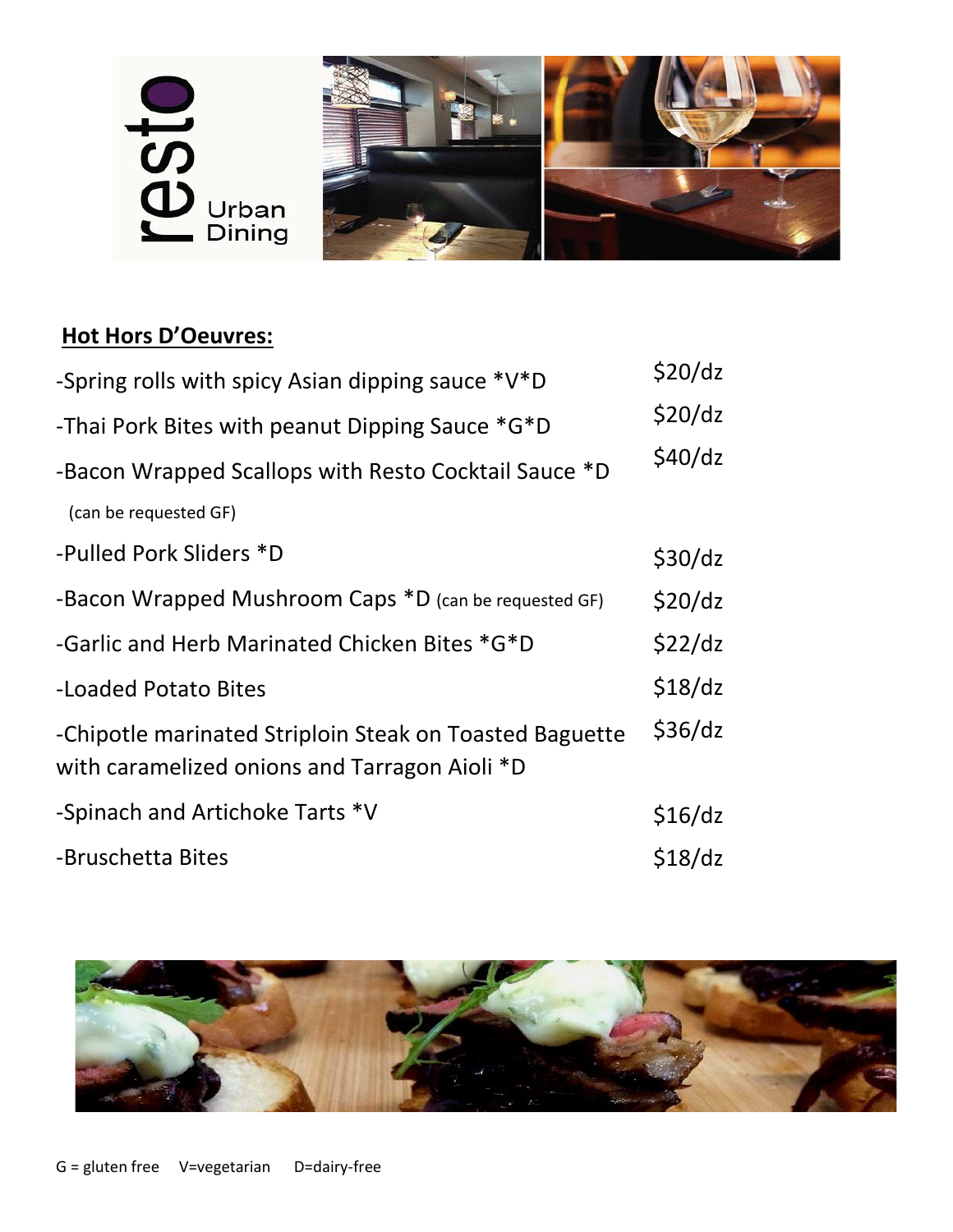

# **Hot Hors D'Oeuvres:**

| -Spring rolls with spicy Asian dipping sauce *V*D                                                        | \$20/dz |
|----------------------------------------------------------------------------------------------------------|---------|
| -Thai Pork Bites with peanut Dipping Sauce *G*D                                                          | \$20/dz |
| -Bacon Wrapped Scallops with Resto Cocktail Sauce *D                                                     | \$40/dz |
| (can be requested GF)                                                                                    |         |
| -Pulled Pork Sliders *D                                                                                  | \$30/dz |
| -Bacon Wrapped Mushroom Caps *D (can be requested GF)                                                    | \$20/dz |
| -Garlic and Herb Marinated Chicken Bites *G*D                                                            | \$22/dz |
| -Loaded Potato Bites                                                                                     | \$18/dz |
| -Chipotle marinated Striploin Steak on Toasted Baguette<br>with caramelized onions and Tarragon Aioli *D | \$36/dz |
| -Spinach and Artichoke Tarts *V                                                                          | \$16/dz |
| -Bruschetta Bites                                                                                        | \$18/dz |

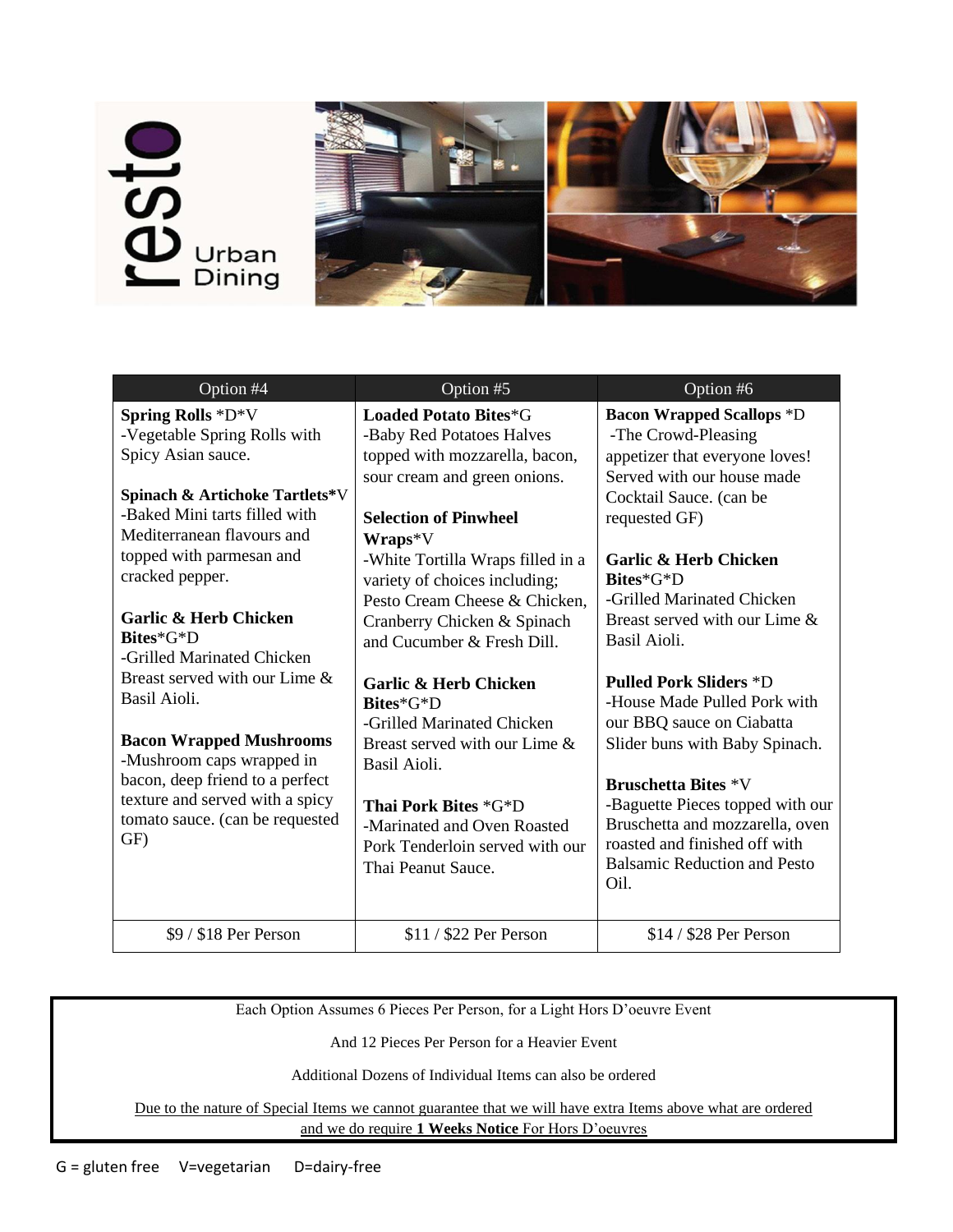# **SI**<br>U Urban<br>Dining



| Option #4                                                                                                                                                                                                                                                                                                                                                                                                                                                                                                                                                | Option $#5$                                                                                                                                                                                                                                                                                                                                                                                                                                                                                                                                                                                  | Option #6                                                                                                                                                                                                                                                                                                                                                                                                                                                                                                                                                                                                                |
|----------------------------------------------------------------------------------------------------------------------------------------------------------------------------------------------------------------------------------------------------------------------------------------------------------------------------------------------------------------------------------------------------------------------------------------------------------------------------------------------------------------------------------------------------------|----------------------------------------------------------------------------------------------------------------------------------------------------------------------------------------------------------------------------------------------------------------------------------------------------------------------------------------------------------------------------------------------------------------------------------------------------------------------------------------------------------------------------------------------------------------------------------------------|--------------------------------------------------------------------------------------------------------------------------------------------------------------------------------------------------------------------------------------------------------------------------------------------------------------------------------------------------------------------------------------------------------------------------------------------------------------------------------------------------------------------------------------------------------------------------------------------------------------------------|
| <b>Spring Rolls *D*V</b><br>-Vegetable Spring Rolls with<br>Spicy Asian sauce.<br><b>Spinach &amp; Artichoke Tartlets*V</b><br>-Baked Mini tarts filled with<br>Mediterranean flavours and<br>topped with parmesan and<br>cracked pepper.<br><b>Garlic &amp; Herb Chicken</b><br>Bites*G*D<br>-Grilled Marinated Chicken<br>Breast served with our Lime &<br>Basil Aioli.<br><b>Bacon Wrapped Mushrooms</b><br>-Mushroom caps wrapped in<br>bacon, deep friend to a perfect<br>texture and served with a spicy<br>tomato sauce. (can be requested<br>GF) | <b>Loaded Potato Bites*G</b><br>-Baby Red Potatoes Halves<br>topped with mozzarella, bacon,<br>sour cream and green onions.<br><b>Selection of Pinwheel</b><br>$Wraps*V$<br>-White Tortilla Wraps filled in a<br>variety of choices including;<br>Pesto Cream Cheese & Chicken.<br>Cranberry Chicken & Spinach<br>and Cucumber & Fresh Dill.<br><b>Garlic &amp; Herb Chicken</b><br>Bites*G*D<br>-Grilled Marinated Chicken<br>Breast served with our Lime &<br>Basil Aioli.<br>Thai Pork Bites *G*D<br>-Marinated and Oven Roasted<br>Pork Tenderloin served with our<br>Thai Peanut Sauce. | <b>Bacon Wrapped Scallops *D</b><br>-The Crowd-Pleasing<br>appetizer that everyone loves!<br>Served with our house made<br>Cocktail Sauce. (can be<br>requested GF)<br><b>Garlic &amp; Herb Chicken</b><br>Bites*G*D<br>-Grilled Marinated Chicken<br>Breast served with our Lime &<br>Basil Aioli.<br><b>Pulled Pork Sliders *D</b><br>-House Made Pulled Pork with<br>our BBQ sauce on Ciabatta<br>Slider buns with Baby Spinach.<br><b>Bruschetta Bites *V</b><br>-Baguette Pieces topped with our<br>Bruschetta and mozzarella, oven<br>roasted and finished off with<br><b>Balsamic Reduction and Pesto</b><br>Oil. |
| \$9 / \$18 Per Person                                                                                                                                                                                                                                                                                                                                                                                                                                                                                                                                    | \$11 / \$22 Per Person                                                                                                                                                                                                                                                                                                                                                                                                                                                                                                                                                                       | \$14 / \$28 Per Person                                                                                                                                                                                                                                                                                                                                                                                                                                                                                                                                                                                                   |

Each Option Assumes 6 Pieces Per Person, for a Light Hors D'oeuvre Event

And 12 Pieces Per Person for a Heavier Event

Additional Dozens of Individual Items can also be ordered

Due to the nature of Special Items we cannot guarantee that we will have extra Items above what are ordered and we do require **1 Weeks Notice** For Hors D'oeuvres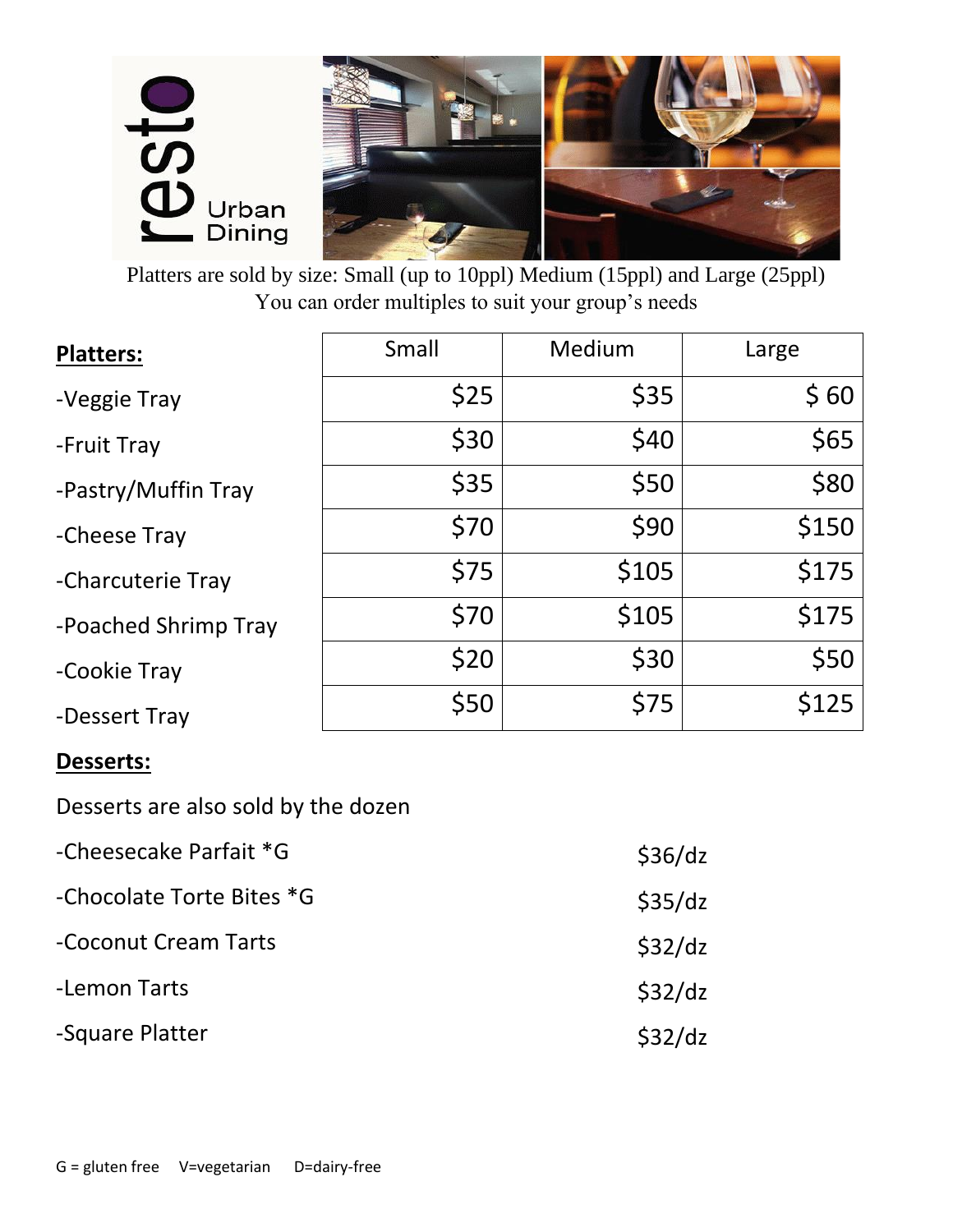

Platters are sold by size: Small (up to 10ppl) Medium (15ppl) and Large (25ppl) You can order multiples to suit your group's needs

| <b>Platters:</b>     | Small | Medium | Large |
|----------------------|-------|--------|-------|
| -Veggie Tray         | \$25  | \$35   | \$60  |
| -Fruit Tray          | \$30  | \$40   | \$65  |
| -Pastry/Muffin Tray  | \$35  | \$50   | \$80  |
| -Cheese Tray         | \$70  | \$90   | \$150 |
| -Charcuterie Tray    | \$75  | \$105  | \$175 |
| -Poached Shrimp Tray | \$70  | \$105  | \$175 |
| -Cookie Tray         | \$20  | \$30   | \$50  |
| -Dessert Tray        | \$50  | \$75   | \$125 |

#### **Desserts:**

Desserts are also sold by the dozen

| -Cheesecake Parfait *G    | \$36/dz |
|---------------------------|---------|
| -Chocolate Torte Bites *G | \$35/dz |
| -Coconut Cream Tarts      | \$32/dz |
| -Lemon Tarts              | \$32/dz |
| -Square Platter           | \$32/dz |
|                           |         |